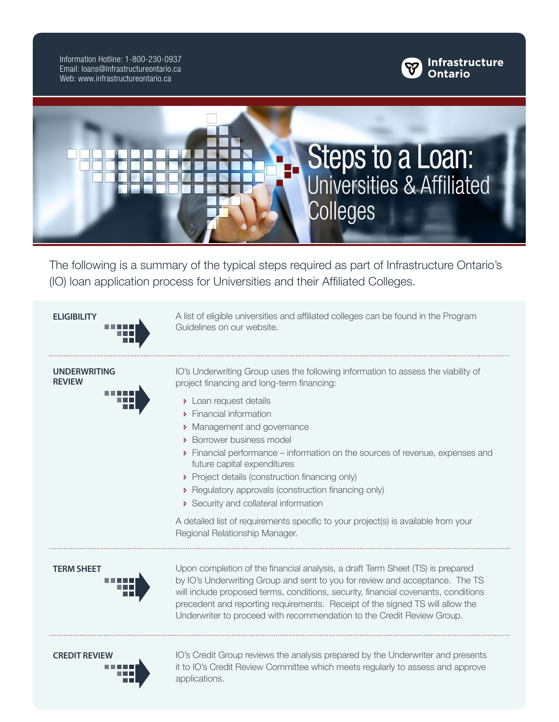Information Hotline: 1-800-230-0937 Email: loans@infrastructureontario.ca Web: www.infrastructureontario.ca





The following is a summary of the typical steps required as part of Infrastructure Ontario's (IO) loan application process for Universities and their Affiliated Colleges.



IO's Underwriting Group uses the following information to assess the viability of

- Ð Financial performance information on the sources of revenue, expenses and
- 
- Ð Regulatory approvals (construction financing only)

A detailed list of requirements specific to your project(s) is available from your